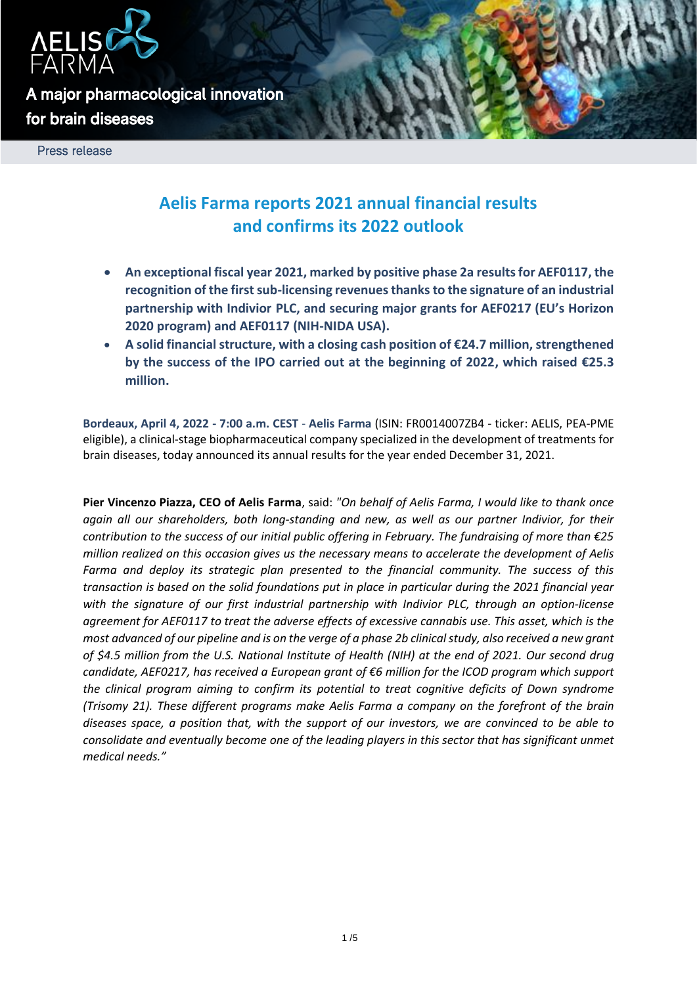

**A major pharmacological innovation for brain diseases** 

Press release

# **Aelis Farma reports 2021 annual financial results and confirms its 2022 outlook**

- **An exceptional fiscal year 2021, marked by positive phase 2a results for AEF0117, the recognition of the first sub-licensing revenues thanks to the signature of an industrial partnership with Indivior PLC, and securing major grants for AEF0217 (EU's Horizon 2020 program) and AEF0117 (NIH-NIDA USA).**
- **A solid financial structure, with a closing cash position of €24.7 million, strengthened by the success of the IPO carried out at the beginning of 2022, which raised €25.3 million.**

**Bordeaux, April 4, 2022 - 7:00 a.m. CEST** - **Aelis Farma** (ISIN: FR0014007ZB4 - ticker: AELIS, PEA-PME eligible), a clinical-stage biopharmaceutical company specialized in the development of treatments for brain diseases, today announced its annual results for the year ended December 31, 2021.

**Pier Vincenzo Piazza, CEO of Aelis Farma**, said: *"On behalf of Aelis Farma, I would like to thank once again all our shareholders, both long-standing and new, as well as our partner Indivior, for their contribution to the success of our initial public offering in February. The fundraising of more than €25 million realized on this occasion gives us the necessary means to accelerate the development of Aelis Farma and deploy its strategic plan presented to the financial community. The success of this transaction is based on the solid foundations put in place in particular during the 2021 financial year with the signature of our first industrial partnership with Indivior PLC, through an option-license agreement for AEF0117 to treat the adverse effects of excessive cannabis use. This asset, which is the most advanced of our pipeline and is on the verge of a phase 2b clinical study, also received a new grant of \$4.5 million from the U.S. National Institute of Health (NIH) at the end of 2021. Our second drug candidate, AEF0217, has received a European grant of €6 million for the ICOD program which support the clinical program aiming to confirm its potential to treat cognitive deficits of Down syndrome (Trisomy 21). These different programs make Aelis Farma a company on the forefront of the brain diseases space, a position that, with the support of our investors, we are convinced to be able to consolidate and eventually become one of the leading players in this sector that has significant unmet medical needs."*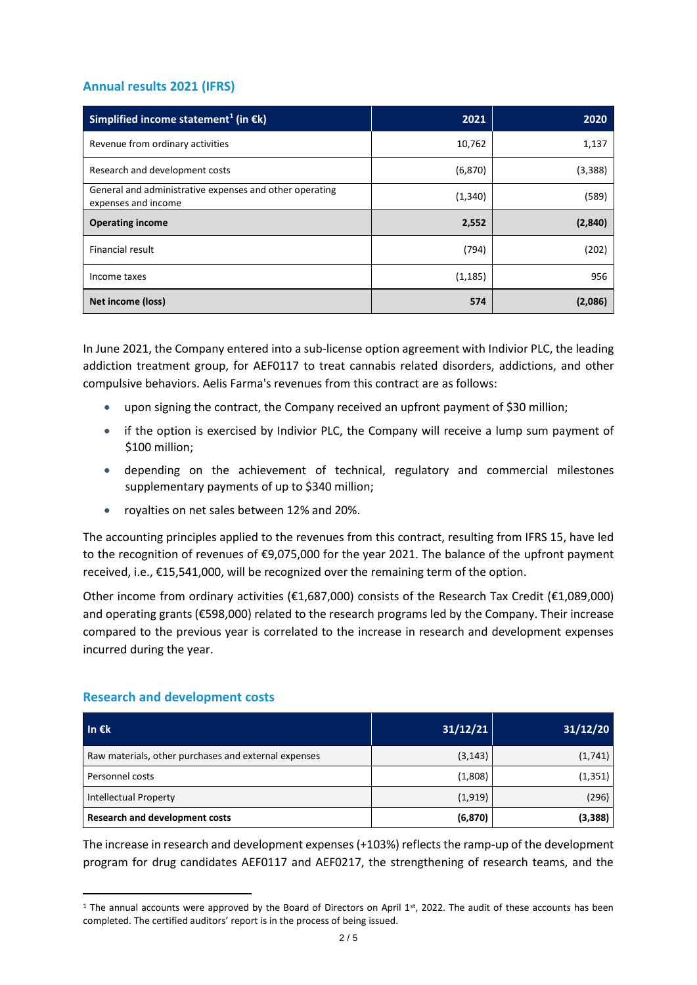# **Annual results 2021 (IFRS)**

| Simplified income statement <sup>1</sup> (in $\epsilon$ k)                     | 2021     | 2020    |  |
|--------------------------------------------------------------------------------|----------|---------|--|
| Revenue from ordinary activities                                               | 10,762   | 1,137   |  |
| Research and development costs                                                 | (6, 870) | (3,388) |  |
| General and administrative expenses and other operating<br>expenses and income | (1, 340) | (589)   |  |
| <b>Operating income</b>                                                        | 2,552    | (2,840) |  |
| Financial result                                                               | (794)    | (202)   |  |
| Income taxes                                                                   | (1, 185) | 956     |  |
| Net income (loss)                                                              | 574      | (2,086) |  |

In June 2021, the Company entered into a sub-license option agreement with Indivior PLC, the leading addiction treatment group, for AEF0117 to treat cannabis related disorders, addictions, and other compulsive behaviors. Aelis Farma's revenues from this contract are as follows:

- upon signing the contract, the Company received an upfront payment of \$30 million;
- if the option is exercised by Indivior PLC, the Company will receive a lump sum payment of \$100 million;
- depending on the achievement of technical, regulatory and commercial milestones supplementary payments of up to \$340 million;
- royalties on net sales between 12% and 20%.

The accounting principles applied to the revenues from this contract, resulting from IFRS 15, have led to the recognition of revenues of €9,075,000 for the year 2021. The balance of the upfront payment received, i.e., €15,541,000, will be recognized over the remaining term of the option.

Other income from ordinary activities ( $\epsilon$ 1,687,000) consists of the Research Tax Credit ( $\epsilon$ 1,089,000) and operating grants (€598,000) related to the research programs led by the Company. Their increase compared to the previous year is correlated to the increase in research and development expenses incurred during the year.

| In $\epsilon$ k                                      | 31/12/21 | 31/12/20 |
|------------------------------------------------------|----------|----------|
| Raw materials, other purchases and external expenses | (3, 143) | (1,741)  |
| Personnel costs                                      | (1,808)  | (1, 351) |
| <b>Intellectual Property</b>                         | (1,919)  | (296)    |
| <b>Research and development costs</b>                | (6, 870) | (3,388)  |

## **Research and development costs**

The increase in research and development expenses (+103%) reflects the ramp-up of the development program for drug candidates AEF0117 and AEF0217, the strengthening of research teams, and the

 $1$  The annual accounts were approved by the Board of Directors on April  $1<sup>st</sup>$ , 2022. The audit of these accounts has been completed. The certified auditors' report is in the process of being issued.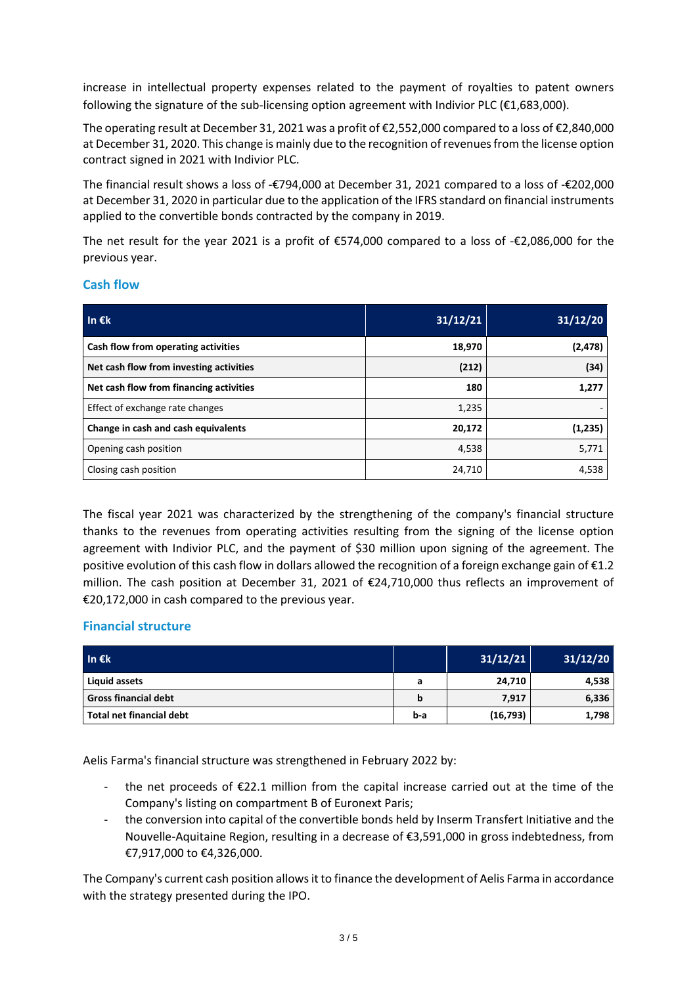increase in intellectual property expenses related to the payment of royalties to patent owners following the signature of the sub-licensing option agreement with Indivior PLC (€1,683,000).

The operating result at December 31, 2021 was a profit of €2,552,000 compared to a loss of €2,840,000 at December 31, 2020. This change is mainly due to the recognition of revenues from the license option contract signed in 2021 with Indivior PLC.

The financial result shows a loss of -€794,000 at December 31, 2021 compared to a loss of -€202,000 at December 31, 2020 in particular due to the application of the IFRS standard on financial instruments applied to the convertible bonds contracted by the company in 2019.

The net result for the year 2021 is a profit of €574,000 compared to a loss of -€2,086,000 for the previous year.

#### **Cash flow**

| In $\epsilon$ k                         | 31/12/21 | 31/12/20 |  |
|-----------------------------------------|----------|----------|--|
| Cash flow from operating activities     | 18,970   | (2, 478) |  |
| Net cash flow from investing activities | (212)    | (34)     |  |
| Net cash flow from financing activities | 180      | 1,277    |  |
| Effect of exchange rate changes         | 1,235    |          |  |
| Change in cash and cash equivalents     | 20,172   | (1,235)  |  |
| Opening cash position                   | 4,538    | 5,771    |  |
| Closing cash position                   | 24,710   | 4,538    |  |

The fiscal year 2021 was characterized by the strengthening of the company's financial structure thanks to the revenues from operating activities resulting from the signing of the license option agreement with Indivior PLC, and the payment of \$30 million upon signing of the agreement. The positive evolution of this cash flow in dollars allowed the recognition of a foreign exchange gain of €1.2 million. The cash position at December 31, 2021 of €24,710,000 thus reflects an improvement of €20,172,000 in cash compared to the previous year.

## **Financial structure**

| In $\epsilon$ k             |     | 31/12/21  | 31/12/20 |
|-----------------------------|-----|-----------|----------|
| Liquid assets               | а   | 24,710    | 4,538    |
| <b>Gross financial debt</b> | b   | 7,917     | 6,336    |
| Total net financial debt    | b-a | (16, 793) | 1,798    |

Aelis Farma's financial structure was strengthened in February 2022 by:

- the net proceeds of  $E22.1$  million from the capital increase carried out at the time of the Company's listing on compartment B of Euronext Paris;
- the conversion into capital of the convertible bonds held by Inserm Transfert Initiative and the Nouvelle-Aquitaine Region, resulting in a decrease of €3,591,000 in gross indebtedness, from €7,917,000 to €4,326,000.

The Company's current cash position allows it to finance the development of Aelis Farma in accordance with the strategy presented during the IPO.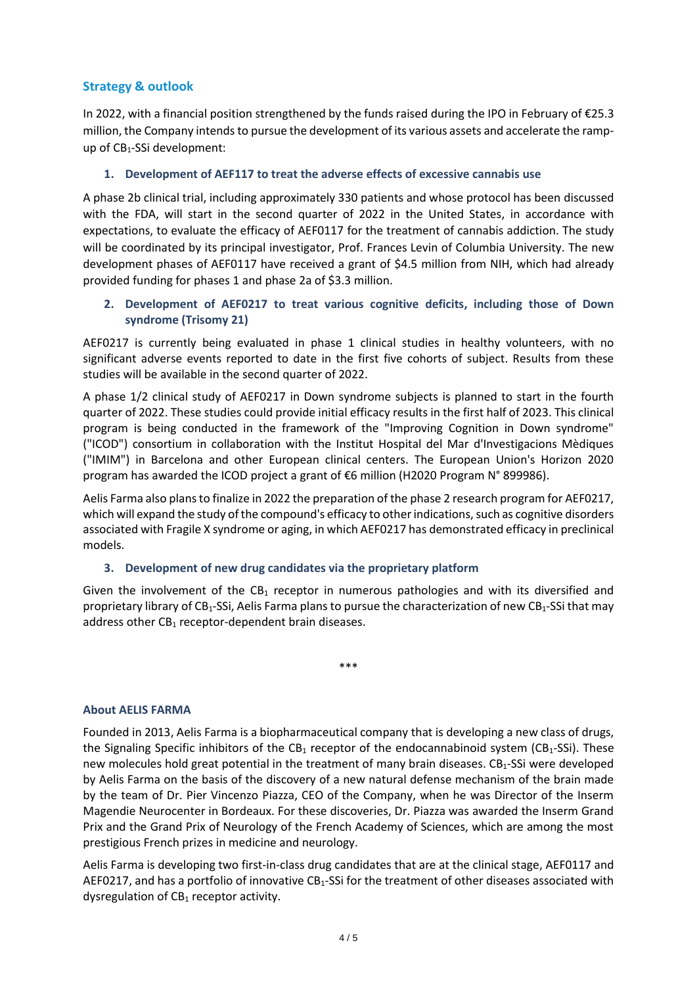## **Strategy & outlook**

In 2022, with a financial position strengthened by the funds raised during the IPO in February of €25.3 million, the Company intends to pursue the development of its various assets and accelerate the rampup of CB<sub>1</sub>-SSi development:

#### **1. Development of AEF117 to treat the adverse effects of excessive cannabis use**

A phase 2b clinical trial, including approximately 330 patients and whose protocol has been discussed with the FDA, will start in the second quarter of 2022 in the United States, in accordance with expectations, to evaluate the efficacy of AEF0117 for the treatment of cannabis addiction. The study will be coordinated by its principal investigator, Prof. Frances Levin of Columbia University. The new development phases of AEF0117 have received a grant of \$4.5 million from NIH, which had already provided funding for phases 1 and phase 2a of \$3.3 million.

## **2. Development of AEF0217 to treat various cognitive deficits, including those of Down syndrome (Trisomy 21)**

AEF0217 is currently being evaluated in phase 1 clinical studies in healthy volunteers, with no significant adverse events reported to date in the first five cohorts of subject. Results from these studies will be available in the second quarter of 2022.

A phase 1/2 clinical study of AEF0217 in Down syndrome subjects is planned to start in the fourth quarter of 2022. These studies could provide initial efficacy results in the first half of 2023. This clinical program is being conducted in the framework of the "Improving Cognition in Down syndrome" ("ICOD") consortium in collaboration with the Institut Hospital del Mar d'Investigacions Mèdiques ("IMIM") in Barcelona and other European clinical centers. The European Union's Horizon 2020 program has awarded the ICOD project a grant of €6 million (H2020 Program N° 899986).

Aelis Farma also plans to finalize in 2022 the preparation of the phase 2 research program for AEF0217, which will expand the study of the compound's efficacy to other indications, such as cognitive disorders associated with Fragile X syndrome or aging, in which AEF0217 has demonstrated efficacy in preclinical models.

#### **3. Development of new drug candidates via the proprietary platform**

Given the involvement of the  $CB_1$  receptor in numerous pathologies and with its diversified and proprietary library of CB<sub>1</sub>-SSi, Aelis Farma plans to pursue the characterization of new CB<sub>1</sub>-SSi that may address other  $CB_1$  receptor-dependent brain diseases.

\*\*\*

#### **About AELIS FARMA**

Founded in 2013, Aelis Farma is a biopharmaceutical company that is developing a new class of drugs, the Signaling Specific inhibitors of the CB<sub>1</sub> receptor of the endocannabinoid system (CB<sub>1</sub>-SSi). These new molecules hold great potential in the treatment of many brain diseases.  $CB_1-SSi$  were developed by Aelis Farma on the basis of the discovery of a new natural defense mechanism of the brain made by the team of Dr. Pier Vincenzo Piazza, CEO of the Company, when he was Director of the Inserm Magendie Neurocenter in Bordeaux. For these discoveries, Dr. Piazza was awarded the Inserm Grand Prix and the Grand Prix of Neurology of the French Academy of Sciences, which are among the most prestigious French prizes in medicine and neurology.

Aelis Farma is developing two first-in-class drug candidates that are at the clinical stage, AEF0117 and AEF0217, and has a portfolio of innovative  $CB_1$ -SSi for the treatment of other diseases associated with dysregulation of  $CB_1$  receptor activity.